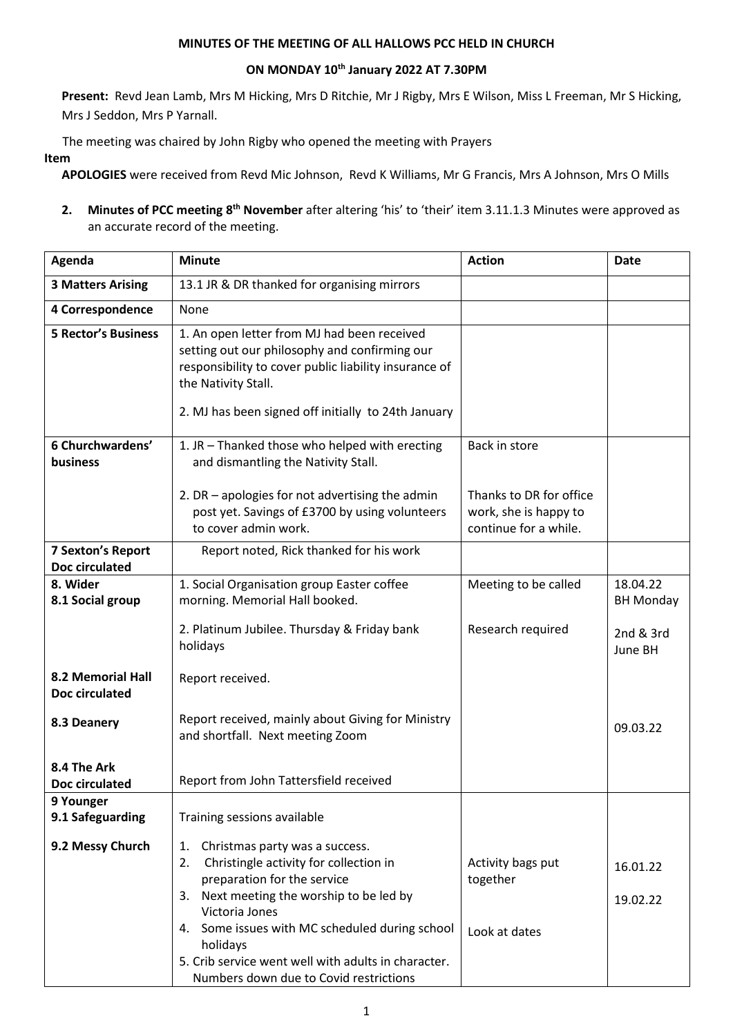## **MINUTES OF THE MEETING OF ALL HALLOWS PCC HELD IN CHURCH**

## **ON MONDAY 10th January 2022 AT 7.30PM**

**Present:** Revd Jean Lamb, Mrs M Hicking, Mrs D Ritchie, Mr J Rigby, Mrs E Wilson, Miss L Freeman, Mr S Hicking, Mrs J Seddon, Mrs P Yarnall.

The meeting was chaired by John Rigby who opened the meeting with Prayers

**Item**

**APOLOGIES** were received from Revd Mic Johnson, Revd K Williams, Mr G Francis, Mrs A Johnson, Mrs O Mills

2. Minutes of PCC meeting 8<sup>th</sup> November after altering 'his' to 'their' item 3.11.1.3 Minutes were approved as an accurate record of the meeting.

| Agenda                                     | <b>Minute</b>                                                                                                                                                                                                                       | <b>Action</b>                                                             | <b>Date</b>                  |
|--------------------------------------------|-------------------------------------------------------------------------------------------------------------------------------------------------------------------------------------------------------------------------------------|---------------------------------------------------------------------------|------------------------------|
| <b>3 Matters Arising</b>                   | 13.1 JR & DR thanked for organising mirrors                                                                                                                                                                                         |                                                                           |                              |
| 4 Correspondence                           | None                                                                                                                                                                                                                                |                                                                           |                              |
| <b>5 Rector's Business</b>                 | 1. An open letter from MJ had been received<br>setting out our philosophy and confirming our<br>responsibility to cover public liability insurance of<br>the Nativity Stall.<br>2. MJ has been signed off initially to 24th January |                                                                           |                              |
| 6 Churchwardens'<br>business               | 1. JR - Thanked those who helped with erecting<br>and dismantling the Nativity Stall.                                                                                                                                               | Back in store                                                             |                              |
|                                            | 2. DR $-$ apologies for not advertising the admin<br>post yet. Savings of £3700 by using volunteers<br>to cover admin work.                                                                                                         | Thanks to DR for office<br>work, she is happy to<br>continue for a while. |                              |
| <b>7 Sexton's Report</b><br>Doc circulated | Report noted, Rick thanked for his work                                                                                                                                                                                             |                                                                           |                              |
| 8. Wider<br>8.1 Social group               | 1. Social Organisation group Easter coffee<br>morning. Memorial Hall booked.                                                                                                                                                        | Meeting to be called                                                      | 18.04.22<br><b>BH Monday</b> |
|                                            | 2. Platinum Jubilee. Thursday & Friday bank<br>holidays                                                                                                                                                                             | Research required                                                         | 2nd & 3rd<br>June BH         |
| 8.2 Memorial Hall<br>Doc circulated        | Report received.                                                                                                                                                                                                                    |                                                                           |                              |
| 8.3 Deanery                                | Report received, mainly about Giving for Ministry<br>and shortfall. Next meeting Zoom                                                                                                                                               |                                                                           | 09.03.22                     |
| 8.4 The Ark<br>Doc circulated              | Report from John Tattersfield received                                                                                                                                                                                              |                                                                           |                              |
| 9 Younger<br>9.1 Safeguarding              | Training sessions available                                                                                                                                                                                                         |                                                                           |                              |
| 9.2 Messy Church                           | Christmas party was a success.<br>1.<br>Christingle activity for collection in<br>2.<br>preparation for the service<br>3. Next meeting the worship to be led by<br>Victoria Jones                                                   | Activity bags put<br>together                                             | 16.01.22<br>19.02.22         |
|                                            | 4. Some issues with MC scheduled during school<br>holidays<br>5. Crib service went well with adults in character.<br>Numbers down due to Covid restrictions                                                                         | Look at dates                                                             |                              |